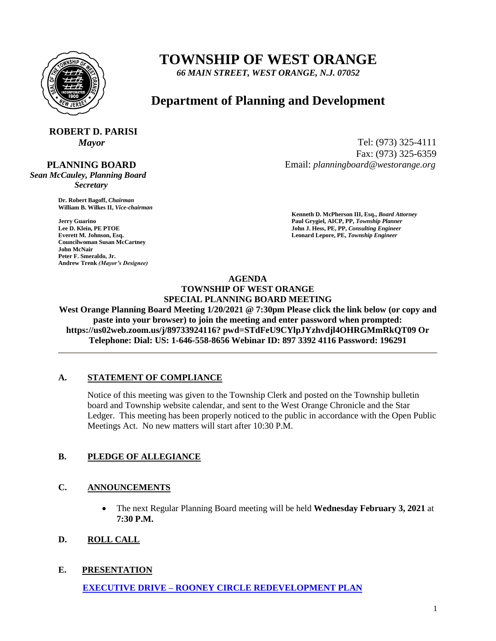

# **TOWNSHIP OF WEST ORANGE**

*66 MAIN STREET, WEST ORANGE, N.J. 07052*

# **Department of Planning and Development**

# **ROBERT D. PARISI**

#### **PLANNING BOARD**

*Sean McCauley, Planning Board Secretary*

> **Dr. Robert Bagoff,** *Chairman*  **William B. Wilkes II,** *Vice-chairman*

**Councilwoman Susan McCartney John McNair Peter F. Smeraldo, Jr. Andrew Trenk** *(Mayor's Designee)*

*Mayor* Tel: (973) 325-4111 Fax: (973) 325-6359 Email: *planningboard@westorange.org*

**Kenneth D. McPherson III, Esq.,** *Board Attorney*  **Faul Grygiel, AICP, PP,** *Township Planner* **Paul Grygiel, AICP, PP,** *Township Planner* **Lee D. Klein, PE PTOE <b>Properties Lee D. Klein, PE PTOE** John J. Hess, PE, PP, *Consulting Engineer* John J. Hess, PE, PP, *Consulting Engineer* **Everett M. Johnson, Esq.** Leonard Lepore, PE, Township Engineer

#### **AGENDA TOWNSHIP OF WEST ORANGE SPECIAL PLANNING BOARD MEETING**

**West Orange Planning Board Meeting 1/20/2021 @ 7:30pm Please click the link below (or copy and paste into your browser) to join the meeting and enter password when prompted: https://us02web.zoom.us/j/89733924116? pwd=STdFeU9CYlpJYzhvdjl4OHRGMmRkQT09 Or Telephone: Dial: US: 1-646-558-8656 Webinar ID: 897 3392 4116 Password: 196291**

#### **A. STATEMENT OF COMPLIANCE**

Notice of this meeting was given to the Township Clerk and posted on the Township bulletin board and Township website calendar, and sent to the West Orange Chronicle and the Star Ledger. This meeting has been properly noticed to the public in accordance with the Open Public Meetings Act. No new matters will start after 10:30 P.M.

## **B. PLEDGE OF ALLEGIANCE**

## **C. ANNOUNCEMENTS**

- The next Regular Planning Board meeting will be held **Wednesday February 3, 2021** at **7:30 P.M.**
- **D. ROLL CALL**

## **E. PRESENTATION**

 **EXECUTIVE DRIVE – [ROONEY CIRCLE REDEVELOPMENT PLAN](http://www.westorange.org/DocumentCenter/View/7582/Executive-Drive_Rooney-Circle-Plan)**